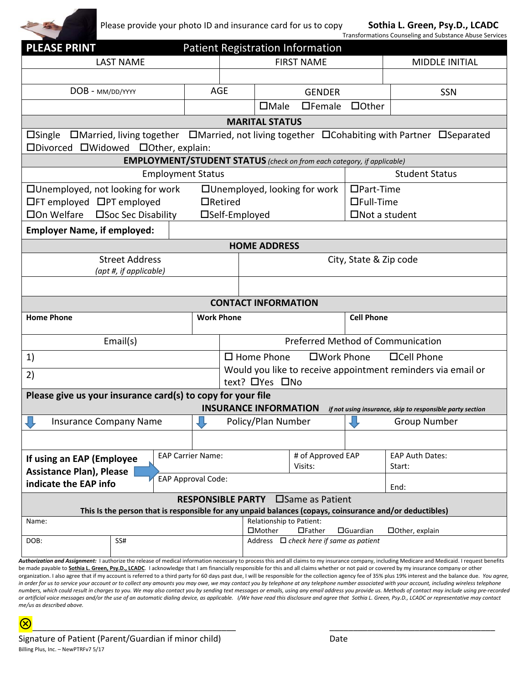

Please provide your photo ID and insurance card for us to copy **Sothia L. Green, Psy.D., LCADC** 

Transformations Counseling and Substance Abuse Services

| <b>PLEASE PRINT</b>                                                                                                                                                                                                                                                                                                                                                                                         |                          |                   |                                                                                                         | <b>Patient Registration Information</b> |                   |                                                           |  |
|-------------------------------------------------------------------------------------------------------------------------------------------------------------------------------------------------------------------------------------------------------------------------------------------------------------------------------------------------------------------------------------------------------------|--------------------------|-------------------|---------------------------------------------------------------------------------------------------------|-----------------------------------------|-------------------|-----------------------------------------------------------|--|
| <b>LAST NAME</b>                                                                                                                                                                                                                                                                                                                                                                                            |                          | <b>FIRST NAME</b> |                                                                                                         |                                         |                   | <b>MIDDLE INITIAL</b>                                     |  |
|                                                                                                                                                                                                                                                                                                                                                                                                             |                          |                   |                                                                                                         |                                         |                   |                                                           |  |
| DOB - MM/DD/YYYY                                                                                                                                                                                                                                                                                                                                                                                            |                          | <b>AGE</b>        | <b>GENDER</b>                                                                                           |                                         |                   | SSN                                                       |  |
|                                                                                                                                                                                                                                                                                                                                                                                                             |                          |                   | $\Box$ Male                                                                                             | $D$ Female<br>$\Box$ Other              |                   |                                                           |  |
| <b>MARITAL STATUS</b>                                                                                                                                                                                                                                                                                                                                                                                       |                          |                   |                                                                                                         |                                         |                   |                                                           |  |
| □Single □Married, living together □Married, not living together □Cohabiting with Partner □Separated<br>□Divorced □Widowed □Other, explain:                                                                                                                                                                                                                                                                  |                          |                   |                                                                                                         |                                         |                   |                                                           |  |
| <b>EMPLOYMENT/STUDENT STATUS</b> (check on from each category, if applicable)                                                                                                                                                                                                                                                                                                                               |                          |                   |                                                                                                         |                                         |                   |                                                           |  |
| <b>Employment Status</b>                                                                                                                                                                                                                                                                                                                                                                                    |                          |                   |                                                                                                         |                                         |                   | <b>Student Status</b>                                     |  |
| □ Unemployed, not looking for work                                                                                                                                                                                                                                                                                                                                                                          |                          |                   | □ Unemployed, looking for work                                                                          |                                         | $\Box$ Part-Time  |                                                           |  |
| □FT employed □PT employed<br>$\Box$ Retired                                                                                                                                                                                                                                                                                                                                                                 |                          |                   |                                                                                                         |                                         | $\Box$ Full-Time  |                                                           |  |
| □ On Welfare<br>□Soc Sec Disability                                                                                                                                                                                                                                                                                                                                                                         |                          |                   | □Self-Employed<br>$\Box$ Not a student                                                                  |                                         |                   |                                                           |  |
| <b>Employer Name, if employed:</b>                                                                                                                                                                                                                                                                                                                                                                          |                          |                   |                                                                                                         |                                         |                   |                                                           |  |
|                                                                                                                                                                                                                                                                                                                                                                                                             |                          |                   | <b>HOME ADDRESS</b>                                                                                     |                                         |                   |                                                           |  |
| <b>Street Address</b>                                                                                                                                                                                                                                                                                                                                                                                       |                          |                   | City, State & Zip code                                                                                  |                                         |                   |                                                           |  |
| (apt #, if applicable)                                                                                                                                                                                                                                                                                                                                                                                      |                          |                   |                                                                                                         |                                         |                   |                                                           |  |
|                                                                                                                                                                                                                                                                                                                                                                                                             |                          |                   |                                                                                                         |                                         |                   |                                                           |  |
|                                                                                                                                                                                                                                                                                                                                                                                                             |                          |                   | <b>CONTACT INFORMATION</b>                                                                              |                                         |                   |                                                           |  |
| <b>Home Phone</b><br><b>Work Phone</b>                                                                                                                                                                                                                                                                                                                                                                      |                          |                   |                                                                                                         |                                         | <b>Cell Phone</b> |                                                           |  |
| Email(s)                                                                                                                                                                                                                                                                                                                                                                                                    |                          |                   | Preferred Method of Communication                                                                       |                                         |                   |                                                           |  |
| 1)                                                                                                                                                                                                                                                                                                                                                                                                          |                          |                   | $\Box$ Home Phone<br>$\square$ Work Phone<br>□Cell Phone                                                |                                         |                   |                                                           |  |
| 2)                                                                                                                                                                                                                                                                                                                                                                                                          |                          |                   | Would you like to receive appointment reminders via email or                                            |                                         |                   |                                                           |  |
| text? □Yes □No<br>Please give us your insurance card(s) to copy for your file                                                                                                                                                                                                                                                                                                                               |                          |                   |                                                                                                         |                                         |                   |                                                           |  |
|                                                                                                                                                                                                                                                                                                                                                                                                             |                          |                   | <b>INSURANCE INFORMATION</b>                                                                            |                                         |                   | if not using insurance, skip to responsible party section |  |
| <b>Insurance Company Name</b>                                                                                                                                                                                                                                                                                                                                                                               |                          |                   | Policy/Plan Number                                                                                      |                                         |                   | <b>Group Number</b>                                       |  |
|                                                                                                                                                                                                                                                                                                                                                                                                             |                          |                   |                                                                                                         |                                         |                   |                                                           |  |
|                                                                                                                                                                                                                                                                                                                                                                                                             |                          |                   |                                                                                                         |                                         |                   |                                                           |  |
| If using an EAP (Employee                                                                                                                                                                                                                                                                                                                                                                                   | <b>EAP Carrier Name:</b> |                   |                                                                                                         | # of Approved EAP<br>Visits:            |                   | <b>EAP Auth Dates:</b><br>Start:                          |  |
| <b>Assistance Plan), Please</b><br>EAP Approval Code:                                                                                                                                                                                                                                                                                                                                                       |                          |                   |                                                                                                         |                                         |                   |                                                           |  |
| indicate the EAP info                                                                                                                                                                                                                                                                                                                                                                                       |                          |                   |                                                                                                         |                                         |                   | End:                                                      |  |
| <b>RESPONSIBLE PARTY</b> □ Same as Patient<br>This Is the person that is responsible for any unpaid balances (copays, coinsurance and/or deductibles)                                                                                                                                                                                                                                                       |                          |                   |                                                                                                         |                                         |                   |                                                           |  |
| Name:                                                                                                                                                                                                                                                                                                                                                                                                       |                          |                   | <b>Relationship to Patient:</b><br>□Mother<br>$\Box$ Father<br>$\Box$ Guardian<br>$\Box$ Other, explain |                                         |                   |                                                           |  |
| DOB:<br>SS#                                                                                                                                                                                                                                                                                                                                                                                                 |                          |                   | Address $\Box$ check here if same as patient                                                            |                                         |                   |                                                           |  |
| Authorization and Assignment: I authorize the release of medical information necessary to process this and all claims to my insurance company, including Medicare and Medicaid. I request benefits                                                                                                                                                                                                          |                          |                   |                                                                                                         |                                         |                   |                                                           |  |
| be made payable to Sothia L. Green, Psy.D., LCADC. I acknowledge that I am financially responsible for this and all claims whether or not paid or covered by my insurance company or other<br>organization. I also agree that if my account is referred to a third party for 60 days past due, I will be responsible for the collection agency fee of 35% plus 19% interest and the balance due. You agree, |                          |                   |                                                                                                         |                                         |                   |                                                           |  |

organization. I also agree that if my account is referred to a third party for 60 days past due, I will be responsible for the collection agency fee of 35% plus 19% interest and the balance due. *You agree,*  in order for us to service your account or to collect any amounts you may owe, we may contact you by telephone at any telephone number associated with your account, including wireless telephone *numbers, which could result in charges to you. We may also contact you by sending text messages or emails, using any email address you provide us. Methods of contact may include using pre‐recorded or artificial voice messages and/or the use of an automatic dialing device, as applicable. I/We have read this disclosure and agree that Sothia L. Green, Psy.D., LCADC or representative may contact me/us as described above.*

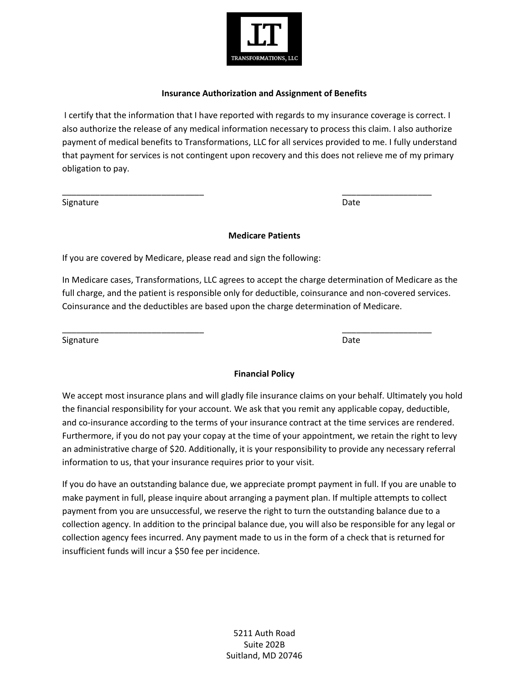

#### **Insurance Authorization and Assignment of Benefits**

 I certify that the information that I have reported with regards to my insurance coverage is correct. I also authorize the release of any medical information necessary to process this claim. I also authorize payment of medical benefits to Transformations, LLC for all services provided to me. I fully understand that payment for services is not contingent upon recovery and this does not relieve me of my primary obligation to pay.

\_\_\_\_\_\_\_\_\_\_\_\_\_\_\_\_\_\_\_\_\_\_\_\_\_\_\_\_\_\_ \_\_\_\_\_\_\_\_\_\_\_\_\_\_\_\_\_\_\_

Signature Date Date of the Date of the Date of the Date of the Date of the Date of the Date of the Date of the Date of the Date of the Date of the Date of the Date of the Date of the Date of the Date of the Date of the Dat

# **Medicare Patients**

If you are covered by Medicare, please read and sign the following:

In Medicare cases, Transformations, LLC agrees to accept the charge determination of Medicare as the full charge, and the patient is responsible only for deductible, coinsurance and non-covered services. Coinsurance and the deductibles are based upon the charge determination of Medicare.

\_\_\_\_\_\_\_\_\_\_\_\_\_\_\_\_\_\_\_\_\_\_\_\_\_\_\_\_\_\_ \_\_\_\_\_\_\_\_\_\_\_\_\_\_\_\_\_\_\_

Signature Date Date of the Date of the Date of the Date of the Date of the Date of the Date of the Date of the Date of the Date of the Date of the Date of the Date of the Date of the Date of the Date of the Date of the Dat

# **Financial Policy**

We accept most insurance plans and will gladly file insurance claims on your behalf. Ultimately you hold the financial responsibility for your account. We ask that you remit any applicable copay, deductible, and co-insurance according to the terms of your insurance contract at the time services are rendered. Furthermore, if you do not pay your copay at the time of your appointment, we retain the right to levy an administrative charge of \$20. Additionally, it is your responsibility to provide any necessary referral information to us, that your insurance requires prior to your visit.

If you do have an outstanding balance due, we appreciate prompt payment in full. If you are unable to make payment in full, please inquire about arranging a payment plan. If multiple attempts to collect payment from you are unsuccessful, we reserve the right to turn the outstanding balance due to a collection agency. In addition to the principal balance due, you will also be responsible for any legal or collection agency fees incurred. Any payment made to us in the form of a check that is returned for insufficient funds will incur a \$50 fee per incidence.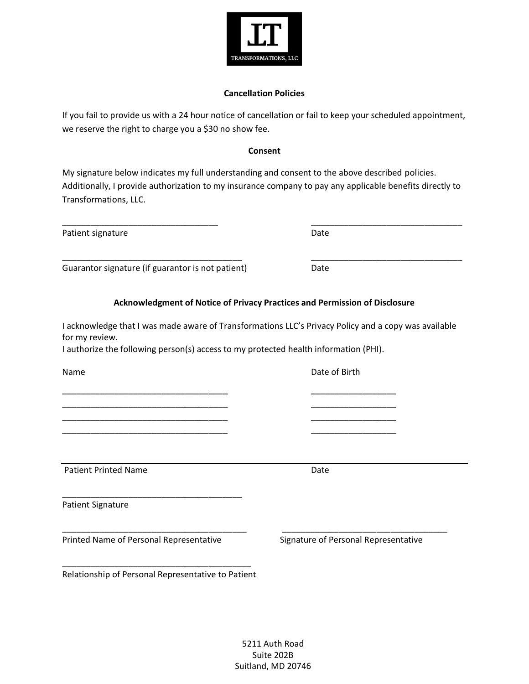

## **Cancellation Policies**

If you fail to provide us with a 24 hour notice of cancellation or fail to keep your scheduled appointment, we reserve the right to charge you a \$30 no show fee.

#### **Consent**

My signature below indicates my full understanding and consent to the above described policies. Additionally, I provide authorization to my insurance company to pay any applicable benefits directly to Transformations, LLC.

\_\_\_\_\_\_\_\_\_\_\_\_\_\_\_\_\_\_\_\_\_\_\_\_\_\_\_\_\_\_\_\_\_ \_\_\_\_\_\_\_\_\_\_\_\_\_\_\_\_\_\_\_\_\_\_\_\_\_\_\_\_\_\_\_\_

Patient signature Date

Guarantor signature (if guarantor is not patient) Date

# **Acknowledgment of Notice of Privacy Practices and Permission of Disclosure**

I acknowledge that I was made aware of Transformations LLC's Privacy Policy and a copy was available for my review.

I authorize the following person(s) access to my protected health information (PHI).

\_\_\_\_\_\_\_\_\_\_\_\_\_\_\_\_\_\_\_\_\_\_\_\_\_\_\_\_\_\_\_\_\_\_\_ \_\_\_\_\_\_\_\_\_\_\_\_\_\_\_\_\_\_ \_\_\_\_\_\_\_\_\_\_\_\_\_\_\_\_\_\_\_\_\_\_\_\_\_\_\_\_\_\_\_\_\_\_\_ \_\_\_\_\_\_\_\_\_\_\_\_\_\_\_\_\_\_ \_\_\_\_\_\_\_\_\_\_\_\_\_\_\_\_\_\_\_\_\_\_\_\_\_\_\_\_\_\_\_\_\_\_\_ \_\_\_\_\_\_\_\_\_\_\_\_\_\_\_\_\_\_ \_\_\_\_\_\_\_\_\_\_\_\_\_\_\_\_\_\_\_\_\_\_\_\_\_\_\_\_\_\_\_\_\_\_\_ \_\_\_\_\_\_\_\_\_\_\_\_\_\_\_\_\_\_

Name Date of Birth

Patient Printed Name **Date** 

Patient Signature

Printed Name of Personal Representative Signature of Personal Representative

\_\_\_\_\_\_\_\_\_\_\_\_\_\_\_\_\_\_\_\_\_\_\_\_\_\_\_\_\_\_\_\_\_\_\_\_\_\_

\_\_\_\_\_\_\_\_\_\_\_\_\_\_\_\_\_\_\_\_\_\_\_\_\_\_\_\_\_\_\_\_\_\_\_\_\_\_\_\_ Relationship of Personal Representative to Patient

\_\_\_\_\_\_\_\_\_\_\_\_\_\_\_\_\_\_\_\_\_\_\_\_\_\_\_\_\_\_\_\_\_\_\_\_\_\_\_ \_\_\_\_\_\_\_\_\_\_\_\_\_\_\_\_\_\_\_\_\_\_\_\_\_\_\_\_\_\_\_\_\_\_\_

\_\_\_\_\_\_\_\_\_\_\_\_\_\_\_\_\_\_\_\_\_\_\_\_\_\_\_\_\_\_\_\_\_\_\_\_\_\_ \_\_\_\_\_\_\_\_\_\_\_\_\_\_\_\_\_\_\_\_\_\_\_\_\_\_\_\_\_\_\_\_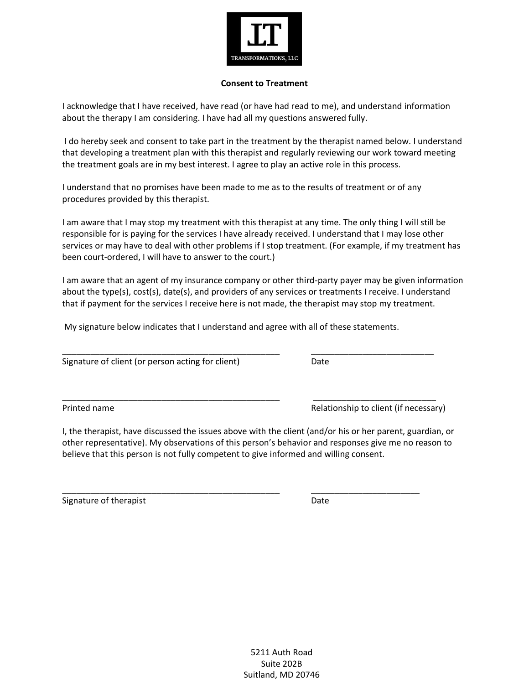

### **Consent to Treatment**

I acknowledge that I have received, have read (or have had read to me), and understand information about the therapy I am considering. I have had all my questions answered fully.

 I do hereby seek and consent to take part in the treatment by the therapist named below. I understand that developing a treatment plan with this therapist and regularly reviewing our work toward meeting the treatment goals are in my best interest. I agree to play an active role in this process.

I understand that no promises have been made to me as to the results of treatment or of any procedures provided by this therapist.

I am aware that I may stop my treatment with this therapist at any time. The only thing I will still be responsible for is paying for the services I have already received. I understand that I may lose other services or may have to deal with other problems if I stop treatment. (For example, if my treatment has been court-ordered, I will have to answer to the court.)

I am aware that an agent of my insurance company or other third-party payer may be given information about the type(s), cost(s), date(s), and providers of any services or treatments I receive. I understand that if payment for the services I receive here is not made, the therapist may stop my treatment.

My signature below indicates that I understand and agree with all of these statements.

\_\_\_\_\_\_\_\_\_\_\_\_\_\_\_\_\_\_\_\_\_\_\_\_\_\_\_\_\_\_\_\_\_\_\_\_\_\_\_\_\_\_\_\_\_\_ \_\_\_\_\_\_\_\_\_\_\_\_\_\_\_\_\_\_\_\_\_\_\_\_\_\_

\_\_\_\_\_\_\_\_\_\_\_\_\_\_\_\_\_\_\_\_\_\_\_\_\_\_\_\_\_\_\_\_\_\_\_\_\_\_\_\_\_\_\_\_\_\_ \_\_\_\_\_\_\_\_\_\_\_\_\_\_\_\_\_\_\_\_\_\_\_\_\_\_

Signature of client (or person acting for client) Date

Printed name **Relationship to client (if necessary)** Relationship to client (if necessary)

I, the therapist, have discussed the issues above with the client (and/or his or her parent, guardian, or other representative). My observations of this person's behavior and responses give me no reason to believe that this person is not fully competent to give informed and willing consent.

\_\_\_\_\_\_\_\_\_\_\_\_\_\_\_\_\_\_\_\_\_\_\_\_\_\_\_\_\_\_\_\_\_\_\_\_\_\_\_\_\_\_\_\_\_\_ \_\_\_\_\_\_\_\_\_\_\_\_\_\_\_\_\_\_\_\_\_\_\_

Signature of therapist **Date** Date Date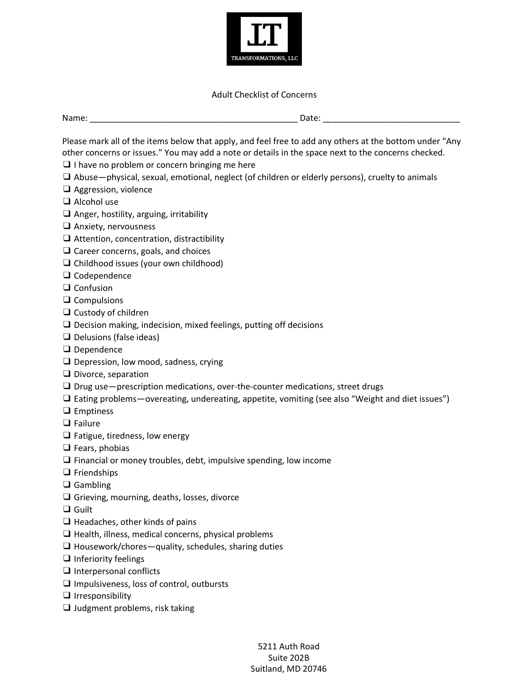

## Adult Checklist of Concerns

| Name: | Date: |  |
|-------|-------|--|
|       |       |  |

Please mark all of the items below that apply, and feel free to add any others at the bottom under "Any other concerns or issues." You may add a note or details in the space next to the concerns checked.

 $\Box$  I have no problem or concern bringing me here

❑ Abuse—physical, sexual, emotional, neglect (of children or elderly persons), cruelty to animals

- ❑ Aggression, violence
- ❑ Alcohol use
- ❑ Anger, hostility, arguing, irritability
- ❑ Anxiety, nervousness
- ❑ Attention, concentration, distractibility
- ❑ Career concerns, goals, and choices
- ❑ Childhood issues (your own childhood)
- ❑ Codependence
- ❑ Confusion
- ❑ Compulsions
- ❑ Custody of children
- □ Decision making, indecision, mixed feelings, putting off decisions
- ❑ Delusions (false ideas)
- ❑ Dependence
- ❑ Depression, low mood, sadness, crying
- ❑ Divorce, separation
- ❑ Drug use—prescription medications, over-the-counter medications, street drugs
- ❑ Eating problems—overeating, undereating, appetite, vomiting (see also "Weight and diet issues")
- ❑ Emptiness
- ❑ Failure
- ❑ Fatigue, tiredness, low energy
- ❑ Fears, phobias
- ❑ Financial or money troubles, debt, impulsive spending, low income
- ❑ Friendships
- ❑ Gambling
- ❑ Grieving, mourning, deaths, losses, divorce
- ❑ Guilt
- ❑ Headaches, other kinds of pains
- $\Box$  Health, illness, medical concerns, physical problems
- $\Box$  Housework/chores—quality, schedules, sharing duties
- ❑ Inferiority feelings
- ❑ Interpersonal conflicts
- ❑ Impulsiveness, loss of control, outbursts
- ❑ Irresponsibility
- ❑ Judgment problems, risk taking